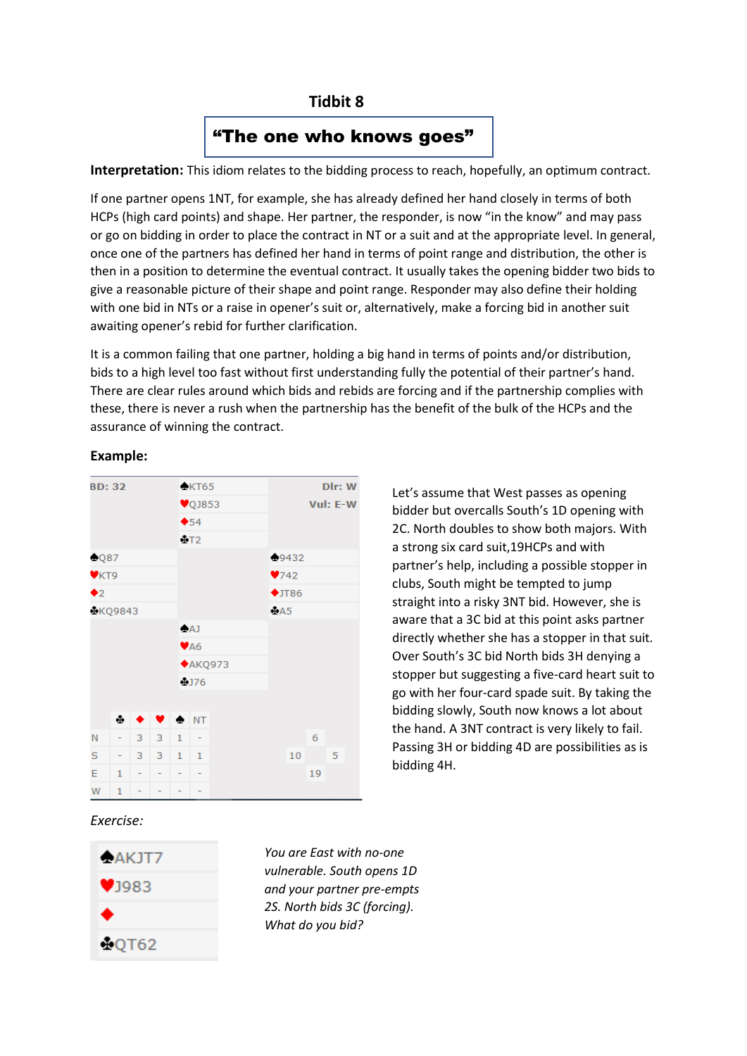# **Tidbit 8**

# "The one who knows goes"

**Interpretation:** This idiom relates to the bidding process to reach, hopefully, an optimum contract.

If one partner opens 1NT, for example, she has already defined her hand closely in terms of both HCPs (high card points) and shape. Her partner, the responder, is now "in the know" and may pass or go on bidding in order to place the contract in NT or a suit and at the appropriate level. In general, once one of the partners has defined her hand in terms of point range and distribution, the other is then in a position to determine the eventual contract. It usually takes the opening bidder two bids to give a reasonable picture of their shape and point range. Responder may also define their holding with one bid in NTs or a raise in opener's suit or, alternatively, make a forcing bid in another suit awaiting opener's rebid for further clarification.

It is a common failing that one partner, holding a big hand in terms of points and/or distribution, bids to a high level too fast without first understanding fully the potential of their partner's hand. There are clear rules around which bids and rebids are forcing and if the partnership complies with these, there is never a rush when the partnership has the benefit of the bulk of the HCPs and the assurance of winning the contract.

#### **Example:**



Let's assume that West passes as opening bidder but overcalls South's 1D opening with 2C. North doubles to show both majors. With a strong six card suit,19HCPs and with partner's help, including a possible stopper in clubs, South might be tempted to jump straight into a risky 3NT bid. However, she is aware that a 3C bid at this point asks partner directly whether she has a stopper in that suit. Over South's 3C bid North bids 3H denying a stopper but suggesting a five-card heart suit to go with her four-card spade suit. By taking the bidding slowly, South now knows a lot about the hand. A 3NT contract is very likely to fail. Passing 3H or bidding 4D are possibilities as is bidding 4H.

### *Exercise:*



*You are East with no-one vulnerable. South opens 1D and your partner pre-empts 2S. North bids 3C (forcing). What do you bid?*